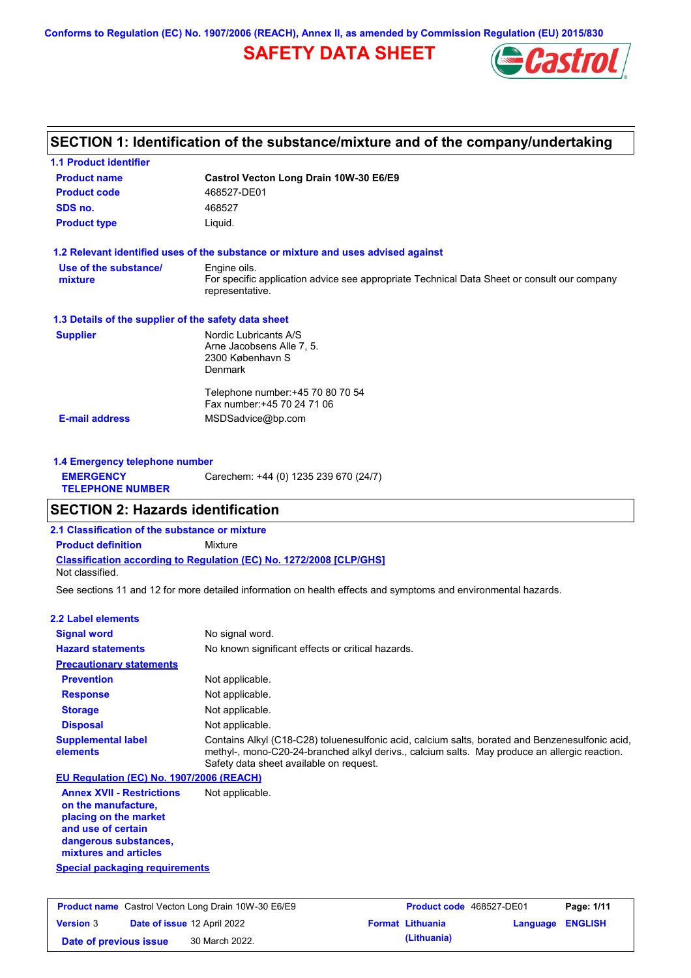**Conforms to Regulation (EC) No. 1907/2006 (REACH), Annex II, as amended by Commission Regulation (EU) 2015/830**

# **SAFETY DATA SHEET**



# **SECTION 1: Identification of the substance/mixture and of the company/undertaking**

| <b>Product name</b>                                  | Castrol Vecton Long Drain 10W-30 E6/E9                                                                         |
|------------------------------------------------------|----------------------------------------------------------------------------------------------------------------|
| <b>Product code</b>                                  | 468527-DE01                                                                                                    |
| SDS no.                                              | 468527                                                                                                         |
| <b>Product type</b>                                  | Liquid.                                                                                                        |
|                                                      | 1.2 Relevant identified uses of the substance or mixture and uses advised against                              |
| Use of the substance/                                | Engine oils.                                                                                                   |
| mixture                                              | For specific application advice see appropriate Technical Data Sheet or consult our company<br>representative. |
| 1.3 Details of the supplier of the safety data sheet |                                                                                                                |
| <b>Supplier</b>                                      | Nordic Lubricants A/S                                                                                          |
|                                                      | Arne Jacobsens Alle 7, 5.                                                                                      |
|                                                      | 2300 København S<br><b>Denmark</b>                                                                             |
|                                                      |                                                                                                                |
|                                                      | Telephone number: +45 70 80 70 54                                                                              |
|                                                      | Fax number: +45 70 24 71 06                                                                                    |
| <b>E-mail address</b>                                | MSDSadvice@bp.com                                                                                              |

| 1.4 Emergency telephone number              |                                       |
|---------------------------------------------|---------------------------------------|
| <b>EMERGENCY</b><br><b>TELEPHONE NUMBER</b> | Carechem: +44 (0) 1235 239 670 (24/7) |

## **SECTION 2: Hazards identification**

**2.1 Classification of the substance or mixture**

**Classification according to Regulation (EC) No. 1272/2008 [CLP/GHS] Product definition** Mixture

Not classified.

See sections 11 and 12 for more detailed information on health effects and symptoms and environmental hazards.

### **2.2 Label elements**

| <b>Signal word</b>                                                                                                                                       | No signal word.                                                                                                                                                                                                                             |
|----------------------------------------------------------------------------------------------------------------------------------------------------------|---------------------------------------------------------------------------------------------------------------------------------------------------------------------------------------------------------------------------------------------|
| <b>Hazard statements</b>                                                                                                                                 | No known significant effects or critical hazards.                                                                                                                                                                                           |
| <b>Precautionary statements</b>                                                                                                                          |                                                                                                                                                                                                                                             |
| <b>Prevention</b>                                                                                                                                        | Not applicable.                                                                                                                                                                                                                             |
| <b>Response</b>                                                                                                                                          | Not applicable.                                                                                                                                                                                                                             |
| <b>Storage</b>                                                                                                                                           | Not applicable.                                                                                                                                                                                                                             |
| <b>Disposal</b>                                                                                                                                          | Not applicable.                                                                                                                                                                                                                             |
| <b>Supplemental label</b><br>elements                                                                                                                    | Contains Alkyl (C18-C28) toluenesulfonic acid, calcium salts, borated and Benzenesulfonic acid,<br>methyl-, mono-C20-24-branched alkyl derivs., calcium salts. May produce an allergic reaction.<br>Safety data sheet available on request. |
| EU Regulation (EC) No. 1907/2006 (REACH)                                                                                                                 |                                                                                                                                                                                                                                             |
| <b>Annex XVII - Restrictions</b><br>on the manufacture,<br>placing on the market<br>and use of certain<br>dangerous substances,<br>mixtures and articles | Not applicable.                                                                                                                                                                                                                             |
| <b>Special packaging requirements</b>                                                                                                                    |                                                                                                                                                                                                                                             |

|                        | <b>Product name</b> Castrol Vecton Long Drain 10W-30 E6/E9 | <b>Product code</b> 468527-DE01 |                         | Page: 1/11 |
|------------------------|------------------------------------------------------------|---------------------------------|-------------------------|------------|
| <b>Version 3</b>       | <b>Date of issue 12 April 2022</b>                         | <b>Format Lithuania</b>         | <b>Language ENGLISH</b> |            |
| Date of previous issue | 30 March 2022.                                             | (Lithuania)                     |                         |            |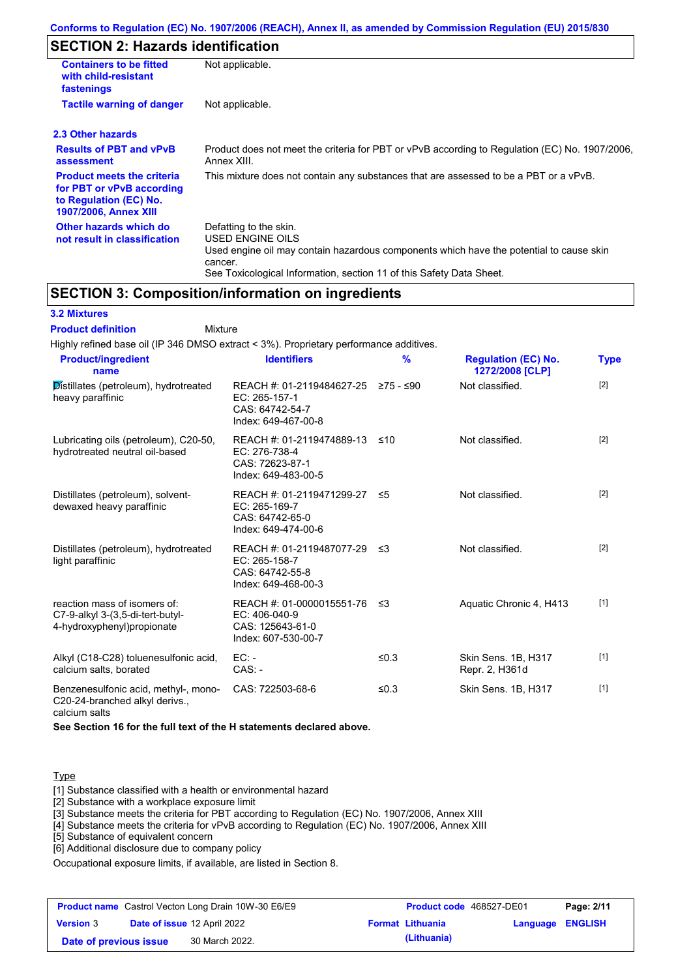# **SECTION 2: Hazards identification**

| <b>Containers to be fitted</b><br>with child-resistant<br>fastenings                                                     | Not applicable.                                                                                                                                                                                                          |
|--------------------------------------------------------------------------------------------------------------------------|--------------------------------------------------------------------------------------------------------------------------------------------------------------------------------------------------------------------------|
| <b>Tactile warning of danger</b>                                                                                         | Not applicable.                                                                                                                                                                                                          |
| 2.3 Other hazards                                                                                                        |                                                                                                                                                                                                                          |
| <b>Results of PBT and vPvB</b><br>assessment                                                                             | Product does not meet the criteria for PBT or vPvB according to Regulation (EC) No. 1907/2006,<br>Annex XIII.                                                                                                            |
| <b>Product meets the criteria</b><br>for PBT or vPvB according<br>to Regulation (EC) No.<br><b>1907/2006, Annex XIII</b> | This mixture does not contain any substances that are assessed to be a PBT or a vPvB.                                                                                                                                    |
| Other hazards which do<br>not result in classification                                                                   | Defatting to the skin.<br>USED ENGINE OILS<br>Used engine oil may contain hazardous components which have the potential to cause skin<br>cancer.<br>See Toxicological Information, section 11 of this Safety Data Sheet. |

### **SECTION 3: Composition/information on ingredients**

### **3.2 Mixtures**

Mixture **Product definition**

| Highly refined base oil (IP 346 DMSO extract < 3%). Proprietary performance additives.          |                                                                                         |           |                                               |             |
|-------------------------------------------------------------------------------------------------|-----------------------------------------------------------------------------------------|-----------|-----------------------------------------------|-------------|
| <b>Product/ingredient</b><br>name                                                               | <b>Identifiers</b>                                                                      | %         | <b>Regulation (EC) No.</b><br>1272/2008 [CLP] | <b>Type</b> |
| Distillates (petroleum), hydrotreated<br>heavy paraffinic                                       | REACH #: 01-2119484627-25<br>EC: 265-157-1<br>CAS: 64742-54-7<br>Index: 649-467-00-8    | 275 - ≤90 | Not classified.                               | $[2]$       |
| Lubricating oils (petroleum), C20-50,<br>hydrotreated neutral oil-based                         | REACH #: 01-2119474889-13<br>EC: 276-738-4<br>CAS: 72623-87-1<br>Index: 649-483-00-5    | ≤10       | Not classified.                               | $[2]$       |
| Distillates (petroleum), solvent-<br>dewaxed heavy paraffinic                                   | REACH #: 01-2119471299-27<br>EC: 265-169-7<br>CAS: 64742-65-0<br>Index: 649-474-00-6    | ≤5        | Not classified.                               | $[2]$       |
| Distillates (petroleum), hydrotreated<br>light paraffinic                                       | REACH #: 01-2119487077-29<br>EC: 265-158-7<br>CAS: 64742-55-8<br>Index: 649-468-00-3    | -≤3       | Not classified.                               | $[2]$       |
| reaction mass of isomers of:<br>C7-9-alkyl 3-(3,5-di-tert-butyl-<br>4-hydroxyphenyl) propionate | REACH #: 01-0000015551-76<br>$EC: 406-040-9$<br>CAS: 125643-61-0<br>Index: 607-530-00-7 | ึ ≤3      | Aquatic Chronic 4, H413                       | $[1]$       |
| Alkyl (C18-C28) toluenesulfonic acid,<br>calcium salts, borated                                 | $EC: -$<br>$CAS. -$                                                                     | ≤ $0.3$   | Skin Sens. 1B, H317<br>Repr. 2, H361d         | $[1]$       |
| Benzenesulfonic acid, methyl-, mono-<br>C20-24-branched alkyl derivs.,                          | CAS: 722503-68-6                                                                        | ≤0.3      | Skin Sens. 1B, H317                           | $[1]$       |

calcium salts

**See Section 16 for the full text of the H statements declared above.**

### Type

[1] Substance classified with a health or environmental hazard

[2] Substance with a workplace exposure limit

[3] Substance meets the criteria for PBT according to Regulation (EC) No. 1907/2006, Annex XIII

[4] Substance meets the criteria for vPvB according to Regulation (EC) No. 1907/2006, Annex XIII

[5] Substance of equivalent concern

[6] Additional disclosure due to company policy

Occupational exposure limits, if available, are listed in Section 8.

|                        | <b>Product name</b> Castrol Vecton Long Drain 10W-30 E6/E9 | Product code 468527-DE01 |                  | Page: 2/11 |
|------------------------|------------------------------------------------------------|--------------------------|------------------|------------|
| <b>Version 3</b>       | <b>Date of issue 12 April 2022</b>                         | <b>Format Lithuania</b>  | Language ENGLISH |            |
| Date of previous issue | 30 March 2022.                                             | (Lithuania)              |                  |            |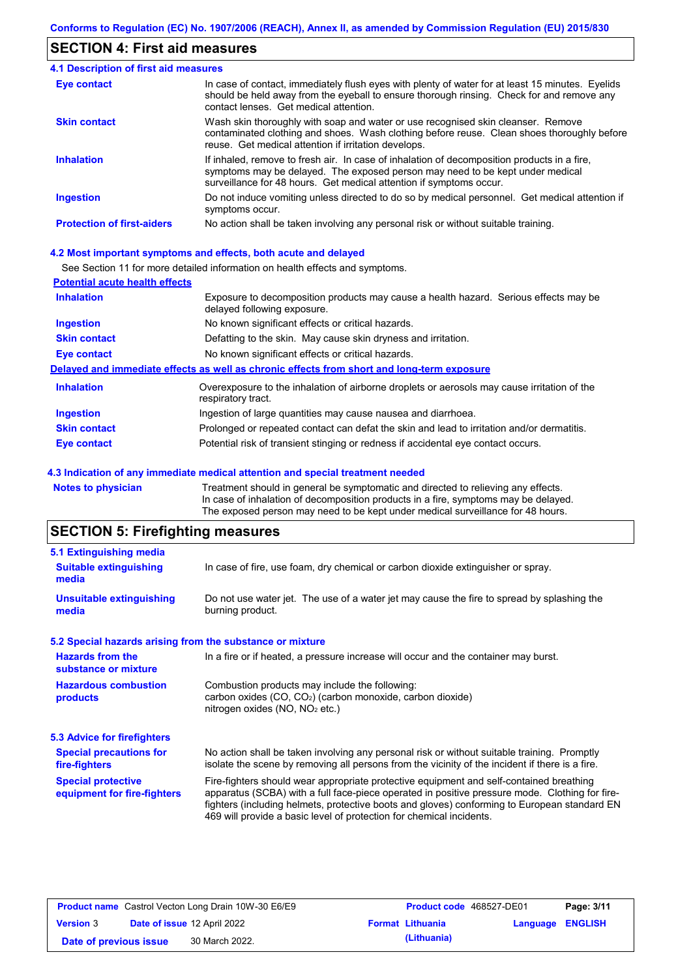# **SECTION 4: First aid measures**

| 4.1 Description of first aid measures |                                                                                                                                                                                                                                                     |
|---------------------------------------|-----------------------------------------------------------------------------------------------------------------------------------------------------------------------------------------------------------------------------------------------------|
| Eye contact                           | In case of contact, immediately flush eyes with plenty of water for at least 15 minutes. Eyelids<br>should be held away from the eyeball to ensure thorough rinsing. Check for and remove any<br>contact lenses. Get medical attention.             |
| <b>Skin contact</b>                   | Wash skin thoroughly with soap and water or use recognised skin cleanser. Remove<br>contaminated clothing and shoes. Wash clothing before reuse. Clean shoes thoroughly before<br>reuse. Get medical attention if irritation develops.              |
| <b>Inhalation</b>                     | If inhaled, remove to fresh air. In case of inhalation of decomposition products in a fire,<br>symptoms may be delayed. The exposed person may need to be kept under medical<br>surveillance for 48 hours. Get medical attention if symptoms occur. |
| <b>Ingestion</b>                      | Do not induce vomiting unless directed to do so by medical personnel. Get medical attention if<br>symptoms occur.                                                                                                                                   |
| <b>Protection of first-aiders</b>     | No action shall be taken involving any personal risk or without suitable training.                                                                                                                                                                  |

### **4.2 Most important symptoms and effects, both acute and delayed**

See Section 11 for more detailed information on health effects and symptoms.

| <b>Potential acute health effects</b> |                                                                                                                     |
|---------------------------------------|---------------------------------------------------------------------------------------------------------------------|
| <b>Inhalation</b>                     | Exposure to decomposition products may cause a health hazard. Serious effects may be<br>delayed following exposure. |
| <b>Ingestion</b>                      | No known significant effects or critical hazards.                                                                   |
| <b>Skin contact</b>                   | Defatting to the skin. May cause skin dryness and irritation.                                                       |
| <b>Eye contact</b>                    | No known significant effects or critical hazards.                                                                   |
|                                       | Delayed and immediate effects as well as chronic effects from short and long-term exposure                          |
| <b>Inhalation</b>                     | Overexposure to the inhalation of airborne droplets or aerosols may cause irritation of the<br>respiratory tract.   |
| <b>Ingestion</b>                      | Ingestion of large quantities may cause nausea and diarrhoea.                                                       |
| <b>Skin contact</b>                   | Prolonged or repeated contact can defat the skin and lead to irritation and/or dermatitis.                          |
| Eye contact                           | Potential risk of transient stinging or redness if accidental eye contact occurs.                                   |
|                                       |                                                                                                                     |

#### **4.3 Indication of any immediate medical attention and special treatment needed**

**Notes to physician** Treatment should in general be symptomatic and directed to relieving any effects. In case of inhalation of decomposition products in a fire, symptoms may be delayed. The exposed person may need to be kept under medical surveillance for 48 hours.

# **SECTION 5: Firefighting measures**

| 5.1 Extinguishing media                                                                                                                                                                                                                           |                                                                                                                                                                                                                                                                                                                                                                   |  |  |  |  |
|---------------------------------------------------------------------------------------------------------------------------------------------------------------------------------------------------------------------------------------------------|-------------------------------------------------------------------------------------------------------------------------------------------------------------------------------------------------------------------------------------------------------------------------------------------------------------------------------------------------------------------|--|--|--|--|
| <b>Suitable extinguishing</b><br>media                                                                                                                                                                                                            | In case of fire, use foam, dry chemical or carbon dioxide extinguisher or spray.                                                                                                                                                                                                                                                                                  |  |  |  |  |
| <b>Unsuitable extinguishing</b><br>media                                                                                                                                                                                                          | Do not use water jet. The use of a water jet may cause the fire to spread by splashing the<br>burning product.                                                                                                                                                                                                                                                    |  |  |  |  |
| 5.2 Special hazards arising from the substance or mixture                                                                                                                                                                                         |                                                                                                                                                                                                                                                                                                                                                                   |  |  |  |  |
| <b>Hazards from the</b><br>substance or mixture                                                                                                                                                                                                   | In a fire or if heated, a pressure increase will occur and the container may burst.                                                                                                                                                                                                                                                                               |  |  |  |  |
| <b>Hazardous combustion</b><br>products                                                                                                                                                                                                           | Combustion products may include the following:<br>carbon oxides $(CO, CO2)$ (carbon monoxide, carbon dioxide)<br>nitrogen oxides ( $NO$ , $NO2$ etc.)                                                                                                                                                                                                             |  |  |  |  |
| 5.3 Advice for firefighters                                                                                                                                                                                                                       |                                                                                                                                                                                                                                                                                                                                                                   |  |  |  |  |
| No action shall be taken involving any personal risk or without suitable training. Promptly<br><b>Special precautions for</b><br>isolate the scene by removing all persons from the vicinity of the incident if there is a fire.<br>fire-fighters |                                                                                                                                                                                                                                                                                                                                                                   |  |  |  |  |
| <b>Special protective</b><br>equipment for fire-fighters                                                                                                                                                                                          | Fire-fighters should wear appropriate protective equipment and self-contained breathing<br>apparatus (SCBA) with a full face-piece operated in positive pressure mode. Clothing for fire-<br>fighters (including helmets, protective boots and gloves) conforming to European standard EN<br>469 will provide a basic level of protection for chemical incidents. |  |  |  |  |

| <b>Product name</b> Castrol Vecton Long Drain 10W-30 E6/E9 |  |                                    | <b>Product code</b> 468527-DE01 |                         | Page: 3/11              |  |
|------------------------------------------------------------|--|------------------------------------|---------------------------------|-------------------------|-------------------------|--|
| <b>Version 3</b>                                           |  | <b>Date of issue 12 April 2022</b> |                                 | <b>Format Lithuania</b> | <b>Language ENGLISH</b> |  |
| Date of previous issue                                     |  | 30 March 2022.                     |                                 | (Lithuania)             |                         |  |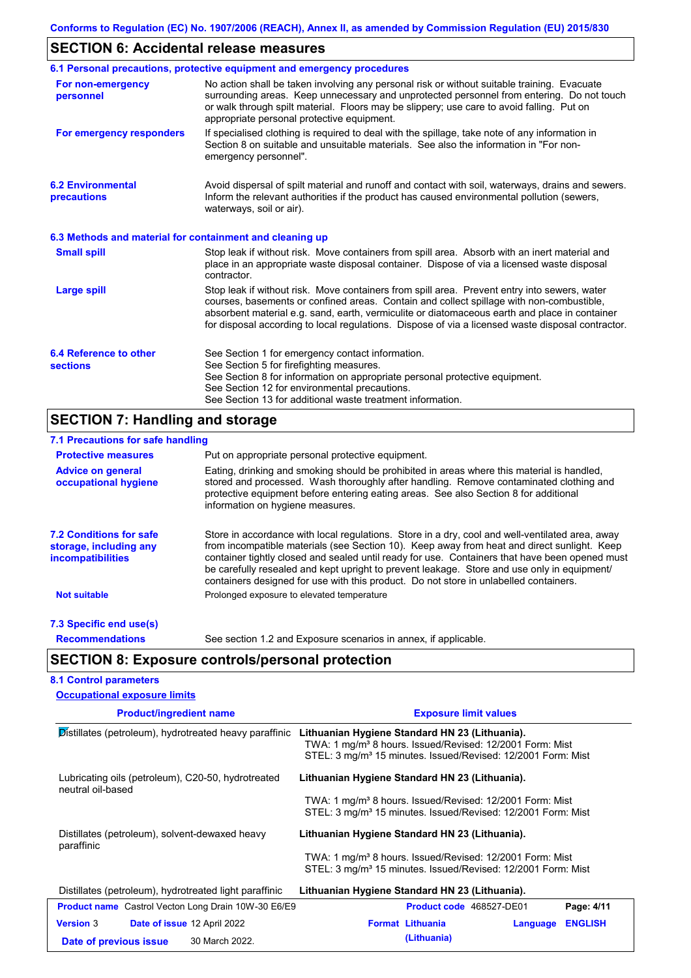# **SECTION 6: Accidental release measures**

|                                                          | 6.1 Personal precautions, protective equipment and emergency procedures                                                                                                                                                                                                                                                                                                                        |
|----------------------------------------------------------|------------------------------------------------------------------------------------------------------------------------------------------------------------------------------------------------------------------------------------------------------------------------------------------------------------------------------------------------------------------------------------------------|
| For non-emergency<br>personnel                           | No action shall be taken involving any personal risk or without suitable training. Evacuate<br>surrounding areas. Keep unnecessary and unprotected personnel from entering. Do not touch<br>or walk through spilt material. Floors may be slippery; use care to avoid falling. Put on<br>appropriate personal protective equipment.                                                            |
| For emergency responders                                 | If specialised clothing is required to deal with the spillage, take note of any information in<br>Section 8 on suitable and unsuitable materials. See also the information in "For non-<br>emergency personnel".                                                                                                                                                                               |
| <b>6.2 Environmental</b><br>precautions                  | Avoid dispersal of spilt material and runoff and contact with soil, waterways, drains and sewers.<br>Inform the relevant authorities if the product has caused environmental pollution (sewers,<br>waterways, soil or air).                                                                                                                                                                    |
| 6.3 Methods and material for containment and cleaning up |                                                                                                                                                                                                                                                                                                                                                                                                |
| <b>Small spill</b>                                       | Stop leak if without risk. Move containers from spill area. Absorb with an inert material and<br>place in an appropriate waste disposal container. Dispose of via a licensed waste disposal<br>contractor.                                                                                                                                                                                     |
| Large spill                                              | Stop leak if without risk. Move containers from spill area. Prevent entry into sewers, water<br>courses, basements or confined areas. Contain and collect spillage with non-combustible,<br>absorbent material e.g. sand, earth, vermiculite or diatomaceous earth and place in container<br>for disposal according to local regulations. Dispose of via a licensed waste disposal contractor. |
| 6.4 Reference to other<br><b>sections</b>                | See Section 1 for emergency contact information.<br>See Section 5 for firefighting measures.<br>See Section 8 for information on appropriate personal protective equipment.<br>See Section 12 for environmental precautions.<br>See Section 13 for additional waste treatment information.                                                                                                     |

# **SECTION 7: Handling and storage**

| 7.1 Precautions for safe handling                                                    |                                                                                                                                                                                                                                                                                                                                                                                                                                                                                          |
|--------------------------------------------------------------------------------------|------------------------------------------------------------------------------------------------------------------------------------------------------------------------------------------------------------------------------------------------------------------------------------------------------------------------------------------------------------------------------------------------------------------------------------------------------------------------------------------|
| <b>Protective measures</b>                                                           | Put on appropriate personal protective equipment.                                                                                                                                                                                                                                                                                                                                                                                                                                        |
| <b>Advice on general</b><br>occupational hygiene                                     | Eating, drinking and smoking should be prohibited in areas where this material is handled,<br>stored and processed. Wash thoroughly after handling. Remove contaminated clothing and<br>protective equipment before entering eating areas. See also Section 8 for additional<br>information on hygiene measures.                                                                                                                                                                         |
| <b>7.2 Conditions for safe</b><br>storage, including any<br><b>incompatibilities</b> | Store in accordance with local regulations. Store in a dry, cool and well-ventilated area, away<br>from incompatible materials (see Section 10). Keep away from heat and direct sunlight. Keep<br>container tightly closed and sealed until ready for use. Containers that have been opened must<br>be carefully resealed and kept upright to prevent leakage. Store and use only in equipment/<br>containers designed for use with this product. Do not store in unlabelled containers. |
| <b>Not suitable</b>                                                                  | Prolonged exposure to elevated temperature                                                                                                                                                                                                                                                                                                                                                                                                                                               |
| 7.3 Specific end use(s)                                                              |                                                                                                                                                                                                                                                                                                                                                                                                                                                                                          |
| <b>Recommendations</b>                                                               | See section 1.2 and Exposure scenarios in annex, if applicable.                                                                                                                                                                                                                                                                                                                                                                                                                          |
|                                                                                      | <b>SECTION 8: Exposure controls/personal protection</b>                                                                                                                                                                                                                                                                                                                                                                                                                                  |
| <b>8.1 Control parameters</b>                                                        |                                                                                                                                                                                                                                                                                                                                                                                                                                                                                          |
| <b>Occupational exposure limits</b>                                                  |                                                                                                                                                                                                                                                                                                                                                                                                                                                                                          |
|                                                                                      |                                                                                                                                                                                                                                                                                                                                                                                                                                                                                          |

| <b>Product/ingredient name</b>                                          | <b>Exposure limit values</b>                                                                                                                                                                       |  |  |  |  |
|-------------------------------------------------------------------------|----------------------------------------------------------------------------------------------------------------------------------------------------------------------------------------------------|--|--|--|--|
| Distillates (petroleum), hydrotreated heavy paraffinic                  | Lithuanian Hygiene Standard HN 23 (Lithuania).<br>TWA: 1 mg/m <sup>3</sup> 8 hours. Issued/Revised: 12/2001 Form: Mist<br>STEL: 3 mg/m <sup>3</sup> 15 minutes. Issued/Revised: 12/2001 Form: Mist |  |  |  |  |
| Lubricating oils (petroleum), C20-50, hydrotreated<br>neutral oil-based | Lithuanian Hygiene Standard HN 23 (Lithuania).                                                                                                                                                     |  |  |  |  |
|                                                                         | TWA: 1 mg/m <sup>3</sup> 8 hours. Issued/Revised: 12/2001 Form: Mist<br>STEL: 3 mg/m <sup>3</sup> 15 minutes. Issued/Revised: 12/2001 Form: Mist                                                   |  |  |  |  |
| Distillates (petroleum), solvent-dewaxed heavy<br>paraffinic            | Lithuanian Hygiene Standard HN 23 (Lithuania).                                                                                                                                                     |  |  |  |  |
|                                                                         | TWA: 1 mg/m <sup>3</sup> 8 hours. Issued/Revised: 12/2001 Form: Mist<br>STEL: 3 mg/m <sup>3</sup> 15 minutes. Issued/Revised: 12/2001 Form: Mist                                                   |  |  |  |  |
| Distillates (petroleum), hydrotreated light paraffinic                  | Lithuanian Hygiene Standard HN 23 (Lithuania).                                                                                                                                                     |  |  |  |  |
| <b>Product name</b> Castrol Vecton Long Drain 10W-30 E6/E9              | Product code 468527-DE01<br>Page: 4/11                                                                                                                                                             |  |  |  |  |
| <b>Version 3</b><br>Date of issue 12 April 2022                         | <b>ENGLISH</b><br><b>Format Lithuania</b><br>Language                                                                                                                                              |  |  |  |  |
| 30 March 2022.<br>Date of previous issue                                | (Lithuania)                                                                                                                                                                                        |  |  |  |  |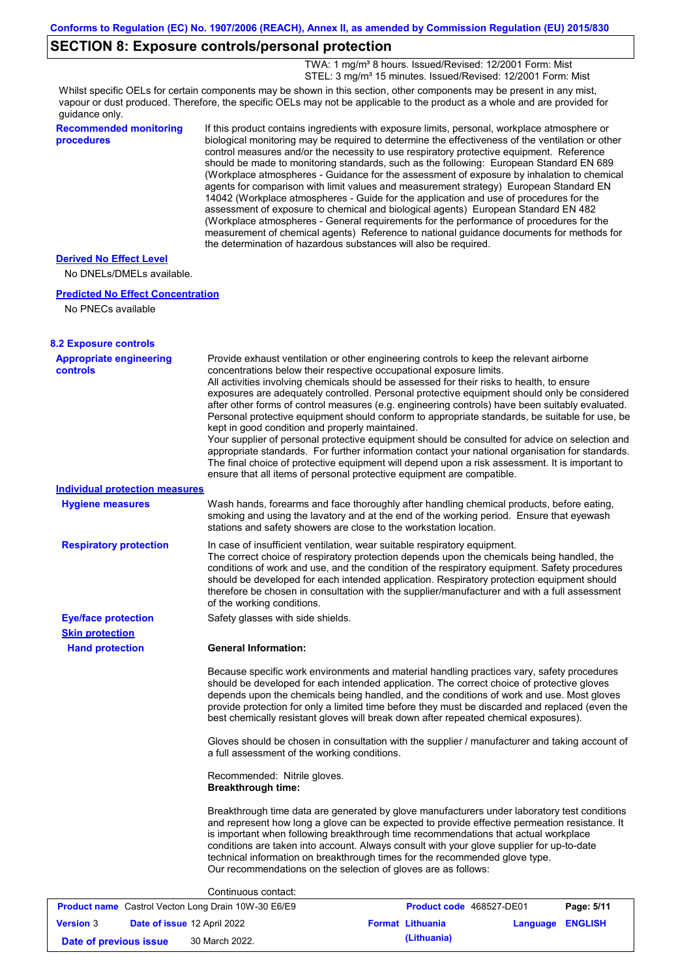# **SECTION 8: Exposure controls/personal protection**

 TWA: 1 mg/m³ 8 hours. Issued/Revised: 12/2001 Form: Mist STEL: 3 mg/m<sup>3</sup> 15 minutes. Issued/Revised: 12/2001 Form: Mist

Whilst specific OELs for certain components may be shown in this section, other components may be present in any mist, vapour or dust produced. Therefore, the specific OELs may not be applicable to the product as a whole and are provided for guidance only.

| <b>Recommended monitoring</b><br>procedures                 | the determination of hazardous substances will also be required. | If this product contains ingredients with exposure limits, personal, workplace atmosphere or<br>biological monitoring may be required to determine the effectiveness of the ventilation or other<br>control measures and/or the necessity to use respiratory protective equipment. Reference<br>should be made to monitoring standards, such as the following: European Standard EN 689<br>(Workplace atmospheres - Guidance for the assessment of exposure by inhalation to chemical<br>agents for comparison with limit values and measurement strategy) European Standard EN<br>14042 (Workplace atmospheres - Guide for the application and use of procedures for the<br>assessment of exposure to chemical and biological agents) European Standard EN 482<br>(Workplace atmospheres - General requirements for the performance of procedures for the<br>measurement of chemical agents) Reference to national guidance documents for methods for |            |
|-------------------------------------------------------------|------------------------------------------------------------------|--------------------------------------------------------------------------------------------------------------------------------------------------------------------------------------------------------------------------------------------------------------------------------------------------------------------------------------------------------------------------------------------------------------------------------------------------------------------------------------------------------------------------------------------------------------------------------------------------------------------------------------------------------------------------------------------------------------------------------------------------------------------------------------------------------------------------------------------------------------------------------------------------------------------------------------------------------|------------|
| <b>Derived No Effect Level</b><br>No DNELs/DMELs available. |                                                                  |                                                                                                                                                                                                                                                                                                                                                                                                                                                                                                                                                                                                                                                                                                                                                                                                                                                                                                                                                        |            |
| <b>Predicted No Effect Concentration</b>                    |                                                                  |                                                                                                                                                                                                                                                                                                                                                                                                                                                                                                                                                                                                                                                                                                                                                                                                                                                                                                                                                        |            |
| No PNECs available                                          |                                                                  |                                                                                                                                                                                                                                                                                                                                                                                                                                                                                                                                                                                                                                                                                                                                                                                                                                                                                                                                                        |            |
| <b>8.2 Exposure controls</b>                                |                                                                  |                                                                                                                                                                                                                                                                                                                                                                                                                                                                                                                                                                                                                                                                                                                                                                                                                                                                                                                                                        |            |
| <b>Appropriate engineering</b><br><b>controls</b>           | kept in good condition and properly maintained.                  | Provide exhaust ventilation or other engineering controls to keep the relevant airborne<br>concentrations below their respective occupational exposure limits.<br>All activities involving chemicals should be assessed for their risks to health, to ensure<br>exposures are adequately controlled. Personal protective equipment should only be considered<br>after other forms of control measures (e.g. engineering controls) have been suitably evaluated.<br>Personal protective equipment should conform to appropriate standards, be suitable for use, be<br>Your supplier of personal protective equipment should be consulted for advice on selection and<br>appropriate standards. For further information contact your national organisation for standards.<br>The final choice of protective equipment will depend upon a risk assessment. It is important to<br>ensure that all items of personal protective equipment are compatible.   |            |
| <b>Individual protection measures</b>                       |                                                                  |                                                                                                                                                                                                                                                                                                                                                                                                                                                                                                                                                                                                                                                                                                                                                                                                                                                                                                                                                        |            |
| <b>Hygiene measures</b>                                     |                                                                  | Wash hands, forearms and face thoroughly after handling chemical products, before eating,<br>smoking and using the lavatory and at the end of the working period. Ensure that eyewash<br>stations and safety showers are close to the workstation location.                                                                                                                                                                                                                                                                                                                                                                                                                                                                                                                                                                                                                                                                                            |            |
| <b>Respiratory protection</b>                               | of the working conditions.                                       | In case of insufficient ventilation, wear suitable respiratory equipment.<br>The correct choice of respiratory protection depends upon the chemicals being handled, the<br>conditions of work and use, and the condition of the respiratory equipment. Safety procedures<br>should be developed for each intended application. Respiratory protection equipment should<br>therefore be chosen in consultation with the supplier/manufacturer and with a full assessment                                                                                                                                                                                                                                                                                                                                                                                                                                                                                |            |
| <b>Eye/face protection</b>                                  | Safety glasses with side shields.                                |                                                                                                                                                                                                                                                                                                                                                                                                                                                                                                                                                                                                                                                                                                                                                                                                                                                                                                                                                        |            |
| <b>Skin protection</b>                                      |                                                                  |                                                                                                                                                                                                                                                                                                                                                                                                                                                                                                                                                                                                                                                                                                                                                                                                                                                                                                                                                        |            |
| <b>Hand protection</b>                                      | <b>General Information:</b>                                      |                                                                                                                                                                                                                                                                                                                                                                                                                                                                                                                                                                                                                                                                                                                                                                                                                                                                                                                                                        |            |
|                                                             |                                                                  | Because specific work environments and material handling practices vary, safety procedures<br>should be developed for each intended application. The correct choice of protective gloves<br>depends upon the chemicals being handled, and the conditions of work and use. Most gloves<br>provide protection for only a limited time before they must be discarded and replaced (even the<br>best chemically resistant gloves will break down after repeated chemical exposures).                                                                                                                                                                                                                                                                                                                                                                                                                                                                       |            |
|                                                             | a full assessment of the working conditions.                     | Gloves should be chosen in consultation with the supplier / manufacturer and taking account of                                                                                                                                                                                                                                                                                                                                                                                                                                                                                                                                                                                                                                                                                                                                                                                                                                                         |            |
|                                                             | Recommended: Nitrile gloves.<br><b>Breakthrough time:</b>        |                                                                                                                                                                                                                                                                                                                                                                                                                                                                                                                                                                                                                                                                                                                                                                                                                                                                                                                                                        |            |
|                                                             | Our recommendations on the selection of gloves are as follows:   | Breakthrough time data are generated by glove manufacturers under laboratory test conditions<br>and represent how long a glove can be expected to provide effective permeation resistance. It<br>is important when following breakthrough time recommendations that actual workplace<br>conditions are taken into account. Always consult with your glove supplier for up-to-date<br>technical information on breakthrough times for the recommended glove type.                                                                                                                                                                                                                                                                                                                                                                                                                                                                                       |            |
|                                                             | Continuous contact:                                              |                                                                                                                                                                                                                                                                                                                                                                                                                                                                                                                                                                                                                                                                                                                                                                                                                                                                                                                                                        |            |
| Product name Castrol Vecton Long Drain 10W-30 E6/E9         |                                                                  | Product code 468527-DE01                                                                                                                                                                                                                                                                                                                                                                                                                                                                                                                                                                                                                                                                                                                                                                                                                                                                                                                               | Page: 5/11 |

| <b>Version 3</b>       | <b>Date of issue 12 April 2022</b> | <b>Format Lithuania</b> | Language ENGLISH |  |
|------------------------|------------------------------------|-------------------------|------------------|--|
| Date of previous issue | 30 March 2022.                     | (Lithuania)             |                  |  |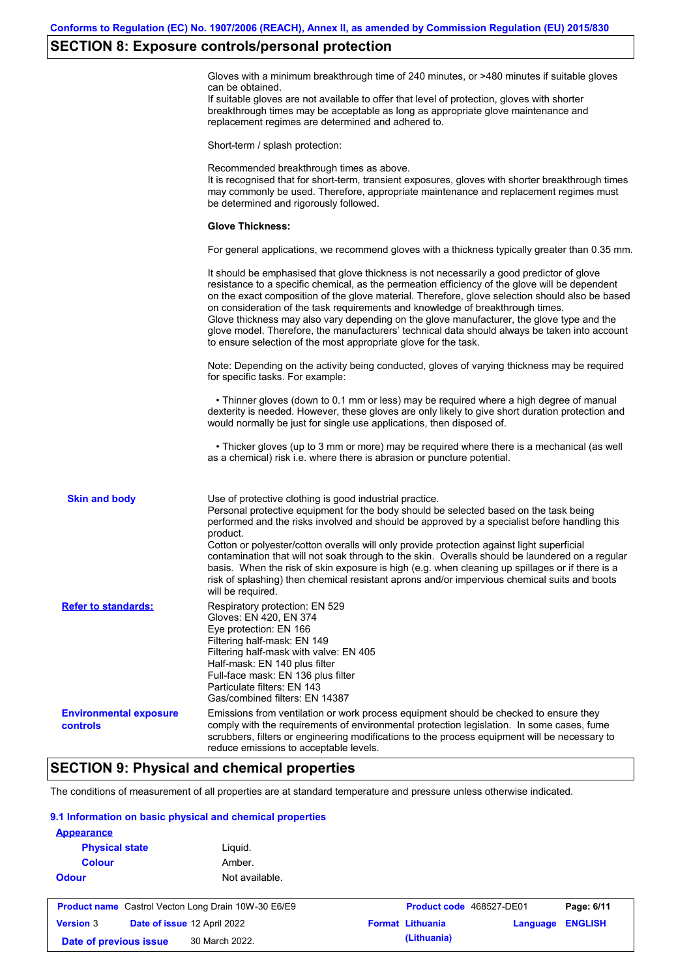### **SECTION 8: Exposure controls/personal protection**

Gloves with a minimum breakthrough time of 240 minutes, or >480 minutes if suitable gloves can be obtained.

If suitable gloves are not available to offer that level of protection, gloves with shorter breakthrough times may be acceptable as long as appropriate glove maintenance and replacement regimes are determined and adhered to.

Short-term / splash protection:

Recommended breakthrough times as above. It is recognised that for short-term, transient exposures, gloves with shorter breakthrough times may commonly be used. Therefore, appropriate maintenance and replacement regimes must be determined and rigorously followed. **Glove Thickness:** For general applications, we recommend gloves with a thickness typically greater than 0.35 mm. It should be emphasised that glove thickness is not necessarily a good predictor of glove resistance to a specific chemical, as the permeation efficiency of the glove will be dependent on the exact composition of the glove material. Therefore, glove selection should also be based on consideration of the task requirements and knowledge of breakthrough times. Glove thickness may also vary depending on the glove manufacturer, the glove type and the glove model. Therefore, the manufacturers' technical data should always be taken into account to ensure selection of the most appropriate glove for the task. Note: Depending on the activity being conducted, gloves of varying thickness may be required for specific tasks. For example: • Thinner gloves (down to 0.1 mm or less) may be required where a high degree of manual dexterity is needed. However, these gloves are only likely to give short duration protection and would normally be just for single use applications, then disposed of. • Thicker gloves (up to 3 mm or more) may be required where there is a mechanical (as well as a chemical) risk i.e. where there is abrasion or puncture potential. Use of protective clothing is good industrial practice. Personal protective equipment for the body should be selected based on the task being performed and the risks involved and should be approved by a specialist before handling this product. Cotton or polyester/cotton overalls will only provide protection against light superficial contamination that will not soak through to the skin. Overalls should be laundered on a regular basis. When the risk of skin exposure is high (e.g. when cleaning up spillages or if there is a risk of splashing) then chemical resistant aprons and/or impervious chemical suits and boots will be required. **Environmental exposure controls** Emissions from ventilation or work process equipment should be checked to ensure they comply with the requirements of environmental protection legislation. In some cases, fume scrubbers, filters or engineering modifications to the process equipment will be necessary to reduce emissions to acceptable levels. **Skin and body Refer to standards:** Respiratory protection: EN 529 Gloves: EN 420, EN 374 Eye protection: EN 166 Filtering half-mask: EN 149 Filtering half-mask with valve: EN 405 Half-mask: EN 140 plus filter Full-face mask: EN 136 plus filter Particulate filters: EN 143 Gas/combined filters: EN 14387

# **SECTION 9: Physical and chemical properties**

The conditions of measurement of all properties are at standard temperature and pressure unless otherwise indicated.

### **9.1 Information on basic physical and chemical properties**

| <b>Appearance</b>                                          |                             |                         |            |                |
|------------------------------------------------------------|-----------------------------|-------------------------|------------|----------------|
| <b>Physical state</b>                                      | Liguid.                     |                         |            |                |
| <b>Colour</b>                                              | Amber.                      |                         |            |                |
| <b>Odour</b>                                               | Not available.              |                         |            |                |
|                                                            |                             |                         |            |                |
| <b>Product name</b> Castrol Vecton Long Drain 10W-30 E6/E9 | Product code 468527-DE01    |                         | Page: 6/11 |                |
| <b>Version 3</b>                                           | Date of issue 12 April 2022 | <b>Format Lithuania</b> | Language   | <b>ENGLISH</b> |
| Date of previous issue                                     | 30 March 2022.              | (Lithuania)             |            |                |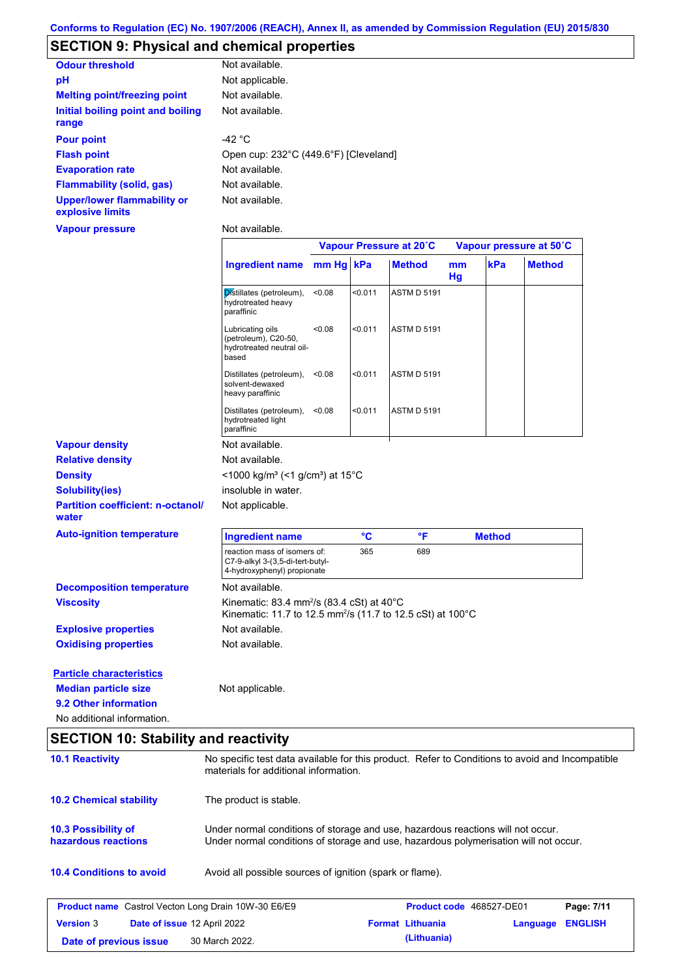# **SECTION 9: Physical and chemical properties**

| <b>Odour threshold</b>                                 | Not available.                        |
|--------------------------------------------------------|---------------------------------------|
| рH                                                     | Not applicable.                       |
| <b>Melting point/freezing point</b>                    | Not available.                        |
| Initial boiling point and boiling<br>range             | Not available.                        |
| <b>Pour point</b>                                      | -42 °C                                |
| <b>Flash point</b>                                     | Open cup: 232°C (449.6°F) [Cleveland] |
| <b>Evaporation rate</b>                                | Not available.                        |
| <b>Flammability (solid, gas)</b>                       | Not available.                        |
| <b>Upper/lower flammability or</b><br>explosive limits | Not available.                        |

### **Vapour pressure**

Not available.

|                                                                |                                                                                                                                                                         |           |         | Vapour Pressure at 20°C |          |               | Vapour pressure at 50°C |
|----------------------------------------------------------------|-------------------------------------------------------------------------------------------------------------------------------------------------------------------------|-----------|---------|-------------------------|----------|---------------|-------------------------|
|                                                                | <b>Ingredient name</b>                                                                                                                                                  | mm Hg kPa |         | <b>Method</b>           | mm<br>Hg | kPa           | <b>Method</b>           |
|                                                                | Distillates (petroleum),<br>hydrotreated heavy<br>paraffinic                                                                                                            | < 0.08    | < 0.011 | <b>ASTM D 5191</b>      |          |               |                         |
|                                                                | Lubricating oils<br>(petroleum), C20-50,<br>hydrotreated neutral oil-<br>based                                                                                          | < 0.08    | < 0.011 | <b>ASTM D 5191</b>      |          |               |                         |
|                                                                | Distillates (petroleum),<br>solvent-dewaxed<br>heavy paraffinic                                                                                                         | < 0.08    | < 0.011 | <b>ASTM D 5191</b>      |          |               |                         |
|                                                                | Distillates (petroleum),<br>hydrotreated light<br>paraffinic                                                                                                            | < 0.08    | < 0.011 | <b>ASTM D 5191</b>      |          |               |                         |
| <b>Vapour density</b>                                          | Not available.                                                                                                                                                          |           |         |                         |          |               |                         |
| <b>Relative density</b>                                        | Not available.                                                                                                                                                          |           |         |                         |          |               |                         |
| <b>Density</b>                                                 | <1000 kg/m <sup>3</sup> (<1 g/cm <sup>3</sup> ) at 15°C                                                                                                                 |           |         |                         |          |               |                         |
| <b>Solubility(ies)</b>                                         | insoluble in water.                                                                                                                                                     |           |         |                         |          |               |                         |
| <b>Partition coefficient: n-octanol/</b><br>water              | Not applicable.                                                                                                                                                         |           |         |                         |          |               |                         |
| <b>Auto-ignition temperature</b>                               | <b>Ingredient name</b>                                                                                                                                                  |           | °C      | $\mathsf{P}$            |          | <b>Method</b> |                         |
|                                                                | reaction mass of isomers of:<br>C7-9-alkyl 3-(3,5-di-tert-butyl-<br>4-hydroxyphenyl) propionate                                                                         |           | 365     | 689                     |          |               |                         |
| <b>Decomposition temperature</b>                               | Not available.                                                                                                                                                          |           |         |                         |          |               |                         |
| <b>Viscosity</b>                                               | Kinematic: 83.4 mm <sup>2</sup> /s (83.4 cSt) at 40 $^{\circ}$ C<br>Kinematic: 11.7 to 12.5 mm <sup>2</sup> /s (11.7 to 12.5 cSt) at 100°C                              |           |         |                         |          |               |                         |
| <b>Explosive properties</b>                                    | Not available.                                                                                                                                                          |           |         |                         |          |               |                         |
| <b>Oxidising properties</b>                                    | Not available.                                                                                                                                                          |           |         |                         |          |               |                         |
| <b>Particle characteristics</b><br><b>Median particle size</b> | Not applicable.                                                                                                                                                         |           |         |                         |          |               |                         |
| 9.2 Other information                                          |                                                                                                                                                                         |           |         |                         |          |               |                         |
| No additional information.                                     |                                                                                                                                                                         |           |         |                         |          |               |                         |
| <b>SECTION 10: Stability and reactivity</b>                    |                                                                                                                                                                         |           |         |                         |          |               |                         |
| <b>10.1 Reactivity</b>                                         | No specific test data available for this product. Refer to Conditions to avoid and Incompatible<br>materials for additional information.                                |           |         |                         |          |               |                         |
| <b>10.2 Chemical stability</b>                                 | The product is stable.                                                                                                                                                  |           |         |                         |          |               |                         |
| <b>10.3 Possibility of</b><br>hazardous reactions              | Under normal conditions of storage and use, hazardous reactions will not occur.<br>Under normal conditions of storage and use, hazardous polymerisation will not occur. |           |         |                         |          |               |                         |
| <b>10.4 Conditions to avoid</b>                                | Avoid all possible sources of ignition (spark or flame).                                                                                                                |           |         |                         |          |               |                         |

| <b>Product name</b> Castrol Vecton Long Drain 10W-30 E6/E9 |  |                                    | <b>Product code</b> 468527-DE01 |                         | Page: 7/11       |  |
|------------------------------------------------------------|--|------------------------------------|---------------------------------|-------------------------|------------------|--|
| <b>Version 3</b>                                           |  | <b>Date of issue 12 April 2022</b> |                                 | <b>Format Lithuania</b> | Language ENGLISH |  |
| Date of previous issue                                     |  | 30 March 2022.                     |                                 | (Lithuania)             |                  |  |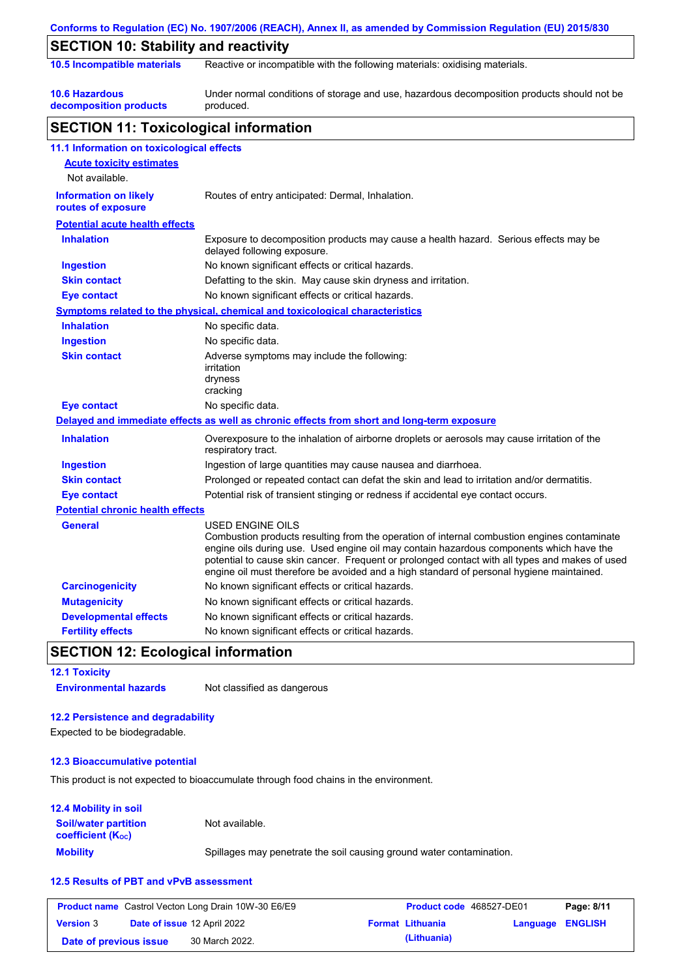|                                                    | Conforms to Regulation (EC) No. 1907/2006 (REACH), Annex II, as amended by Commission Regulation (EU) 2015/830                                                                                                                                                                                                                                                                                                  |  |  |  |  |
|----------------------------------------------------|-----------------------------------------------------------------------------------------------------------------------------------------------------------------------------------------------------------------------------------------------------------------------------------------------------------------------------------------------------------------------------------------------------------------|--|--|--|--|
| <b>SECTION 10: Stability and reactivity</b>        |                                                                                                                                                                                                                                                                                                                                                                                                                 |  |  |  |  |
| 10.5 Incompatible materials                        | Reactive or incompatible with the following materials: oxidising materials.                                                                                                                                                                                                                                                                                                                                     |  |  |  |  |
| <b>10.6 Hazardous</b><br>decomposition products    | Under normal conditions of storage and use, hazardous decomposition products should not be<br>produced.                                                                                                                                                                                                                                                                                                         |  |  |  |  |
| <b>SECTION 11: Toxicological information</b>       |                                                                                                                                                                                                                                                                                                                                                                                                                 |  |  |  |  |
| 11.1 Information on toxicological effects          |                                                                                                                                                                                                                                                                                                                                                                                                                 |  |  |  |  |
| <b>Acute toxicity estimates</b>                    |                                                                                                                                                                                                                                                                                                                                                                                                                 |  |  |  |  |
| Not available.                                     |                                                                                                                                                                                                                                                                                                                                                                                                                 |  |  |  |  |
| <b>Information on likely</b><br>routes of exposure | Routes of entry anticipated: Dermal, Inhalation.                                                                                                                                                                                                                                                                                                                                                                |  |  |  |  |
| <b>Potential acute health effects</b>              |                                                                                                                                                                                                                                                                                                                                                                                                                 |  |  |  |  |
| <b>Inhalation</b>                                  | Exposure to decomposition products may cause a health hazard. Serious effects may be<br>delayed following exposure.                                                                                                                                                                                                                                                                                             |  |  |  |  |
| <b>Ingestion</b>                                   | No known significant effects or critical hazards.                                                                                                                                                                                                                                                                                                                                                               |  |  |  |  |
| <b>Skin contact</b>                                | Defatting to the skin. May cause skin dryness and irritation.                                                                                                                                                                                                                                                                                                                                                   |  |  |  |  |
| <b>Eye contact</b>                                 | No known significant effects or critical hazards.                                                                                                                                                                                                                                                                                                                                                               |  |  |  |  |
|                                                    | <b>Symptoms related to the physical, chemical and toxicological characteristics</b>                                                                                                                                                                                                                                                                                                                             |  |  |  |  |
| <b>Inhalation</b>                                  | No specific data.                                                                                                                                                                                                                                                                                                                                                                                               |  |  |  |  |
| <b>Ingestion</b>                                   | No specific data.                                                                                                                                                                                                                                                                                                                                                                                               |  |  |  |  |
| <b>Skin contact</b>                                | Adverse symptoms may include the following:<br>irritation<br>dryness<br>cracking                                                                                                                                                                                                                                                                                                                                |  |  |  |  |
| <b>Eye contact</b>                                 | No specific data.                                                                                                                                                                                                                                                                                                                                                                                               |  |  |  |  |
|                                                    | Delayed and immediate effects as well as chronic effects from short and long-term exposure                                                                                                                                                                                                                                                                                                                      |  |  |  |  |
| <b>Inhalation</b>                                  | Overexposure to the inhalation of airborne droplets or aerosols may cause irritation of the<br>respiratory tract.                                                                                                                                                                                                                                                                                               |  |  |  |  |
| <b>Ingestion</b>                                   | Ingestion of large quantities may cause nausea and diarrhoea.                                                                                                                                                                                                                                                                                                                                                   |  |  |  |  |
| <b>Skin contact</b>                                | Prolonged or repeated contact can defat the skin and lead to irritation and/or dermatitis.                                                                                                                                                                                                                                                                                                                      |  |  |  |  |
| <b>Eye contact</b>                                 | Potential risk of transient stinging or redness if accidental eye contact occurs.                                                                                                                                                                                                                                                                                                                               |  |  |  |  |
| <b>Potential chronic health effects</b>            |                                                                                                                                                                                                                                                                                                                                                                                                                 |  |  |  |  |
| <b>General</b>                                     | <b>USED ENGINE OILS</b><br>Combustion products resulting from the operation of internal combustion engines contaminate<br>engine oils during use. Used engine oil may contain hazardous components which have the<br>potential to cause skin cancer. Frequent or prolonged contact with all types and makes of used<br>engine oil must therefore be avoided and a high standard of personal hygiene maintained. |  |  |  |  |
| <b>Carcinogenicity</b>                             | No known significant effects or critical hazards.                                                                                                                                                                                                                                                                                                                                                               |  |  |  |  |
| <b>Mutagenicity</b>                                | No known significant effects or critical hazards.                                                                                                                                                                                                                                                                                                                                                               |  |  |  |  |
| <b>Developmental effects</b>                       | No known significant effects or critical hazards.                                                                                                                                                                                                                                                                                                                                                               |  |  |  |  |
| <b>Fertility effects</b>                           | No known significant effects or critical hazards.                                                                                                                                                                                                                                                                                                                                                               |  |  |  |  |

# **SECTION 12: Ecological information**

**12.1 Toxicity Environmental hazards** Not classified as dangerous

# **12.2 Persistence and degradability**

Expected to be biodegradable.

### **12.3 Bioaccumulative potential**

This product is not expected to bioaccumulate through food chains in the environment.

### **12.4 Mobility in soil**

| <b>Soil/water partition</b><br><b>coefficient (Koc)</b> | Not available.                                                       |
|---------------------------------------------------------|----------------------------------------------------------------------|
| <b>Mobility</b>                                         | Spillages may penetrate the soil causing ground water contamination. |

### **12.5 Results of PBT and vPvB assessment**

|                        | <b>Product name</b> Castrol Vecton Long Drain 10W-30 E6/E9 | <b>Product code</b> 468527-DE01 |                  | Page: 8/11 |
|------------------------|------------------------------------------------------------|---------------------------------|------------------|------------|
| <b>Version 3</b>       | <b>Date of issue 12 April 2022</b>                         | <b>Format Lithuania</b>         | Language ENGLISH |            |
| Date of previous issue | 30 March 2022.                                             | (Lithuania)                     |                  |            |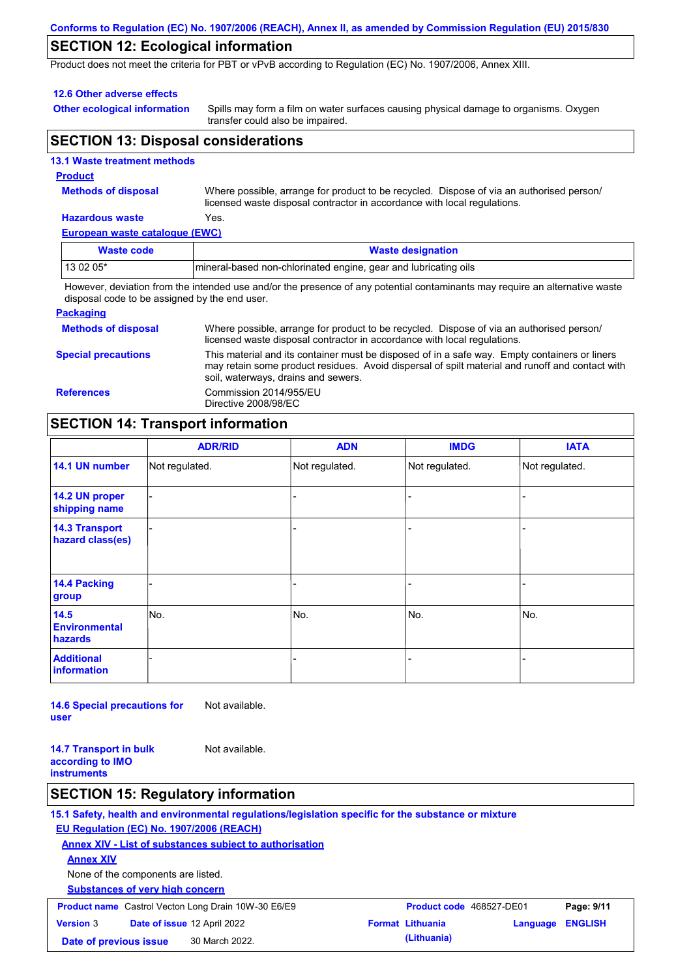### **Conforms to Regulation (EC) No. 1907/2006 (REACH), Annex II, as amended by Commission Regulation (EU) 2015/830**

# **SECTION 12: Ecological information**

Product does not meet the criteria for PBT or vPvB according to Regulation (EC) No. 1907/2006, Annex XIII.

### **12.6 Other adverse effects**

**Other ecological information**

Spills may form a film on water surfaces causing physical damage to organisms. Oxygen transfer could also be impaired.

## **SECTION 13: Disposal considerations**

|   | <b>13.1 Waste treatment methods</b> |
|---|-------------------------------------|
| . |                                     |

### **Product**

**Methods of disposal**

Where possible, arrange for product to be recycled. Dispose of via an authorised person/ licensed waste disposal contractor in accordance with local regulations.

### **Hazardous waste** Yes.

**European waste catalogue (EWC)**

| Waste code | <b>Waste designation</b>                                                                                                    |
|------------|-----------------------------------------------------------------------------------------------------------------------------|
| $130205*$  | mineral-based non-chlorinated engine, gear and lubricating oils                                                             |
|            | However, deviation from the intended use and/or the presence of any potential contaminants may require an alternative waste |

ontaminants ma<sub>)</sub> disposal code to be assigned by the end user.

### **Packaging**

| <b>Methods of disposal</b> | Where possible, arrange for product to be recycled. Dispose of via an authorised person/<br>licensed waste disposal contractor in accordance with local regulations.                                                                    |
|----------------------------|-----------------------------------------------------------------------------------------------------------------------------------------------------------------------------------------------------------------------------------------|
| <b>Special precautions</b> | This material and its container must be disposed of in a safe way. Empty containers or liners<br>may retain some product residues. Avoid dispersal of spilt material and runoff and contact with<br>soil, waterways, drains and sewers. |
| <b>References</b>          | Commission 2014/955/EU<br>Directive 2008/98/EC                                                                                                                                                                                          |

## **SECTION 14: Transport information**

|                                           | <b>ADR/RID</b> | <b>ADN</b>     | <b>IMDG</b>    | <b>IATA</b>    |
|-------------------------------------------|----------------|----------------|----------------|----------------|
| 14.1 UN number                            | Not regulated. | Not regulated. | Not regulated. | Not regulated. |
| 14.2 UN proper<br>shipping name           |                |                |                |                |
| <b>14.3 Transport</b><br>hazard class(es) |                |                |                |                |
| 14.4 Packing<br>group                     |                |                |                |                |
| 14.5<br><b>Environmental</b><br>hazards   | No.            | No.            | No.            | No.            |
| <b>Additional</b><br><b>information</b>   |                |                |                |                |

**14.6 Special precautions for user** Not available.

**14.7 Transport in bulk according to IMO instruments** Not available.

## **SECTION 15: Regulatory information**

**15.1 Safety, health and environmental regulations/legislation specific for the substance or mixture EU Regulation (EC) No. 1907/2006 (REACH) Annex XIV - List of substances subject to authorisation Substances of very high concern** None of the components are listed. **Annex XIV Product name** Castrol Vecton Long Drain 10W-30 E6/E9 **Product code** 468527-DE01 **Page: 9/11 Version** 3 **Date of issue** 12 April 2022 **Format Lithuania Language ENGLISH Date of previous issue (Lithuania)** 30 March 2022.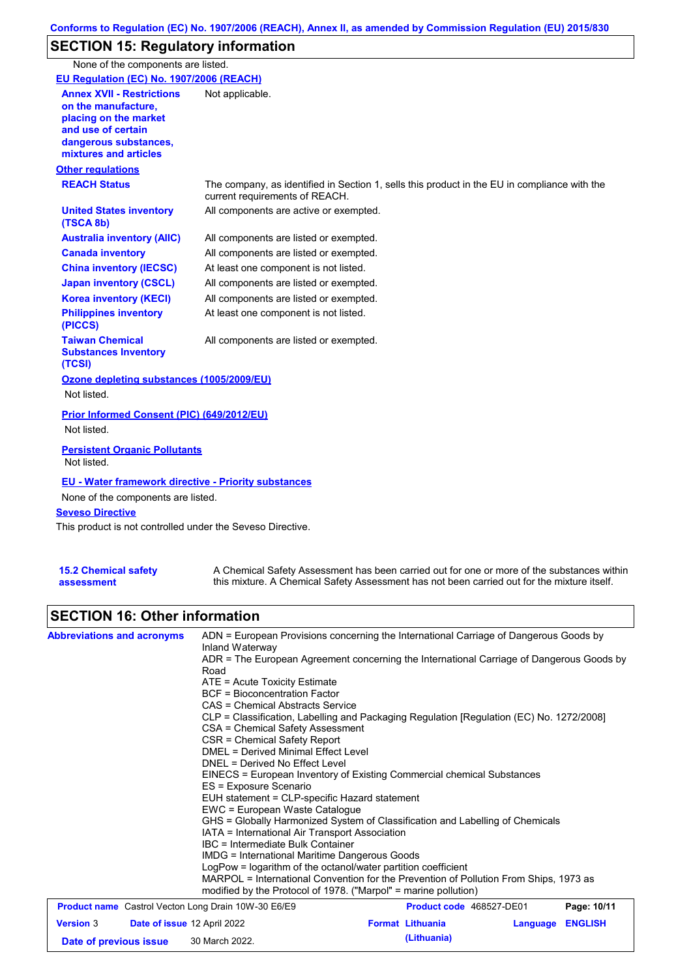# **SECTION 15: Regulatory information**

None of the components are listed.

**Other regulations REACH Status** The company, as identified in Section 1, sells this product in the EU in compliance with the current requirements of REACH. All components are listed or exempted. All components are listed or exempted. At least one component is not listed. All components are listed or exempted. All components are active or exempted. All components are listed or exempted. At least one component is not listed. **United States inventory (TSCA 8b) Australia inventory (AIIC) Canada inventory China inventory (IECSC) Japan inventory (CSCL) Korea inventory (KECI) Philippines inventory (PICCS) Taiwan Chemical Substances Inventory (TCSI)** All components are listed or exempted. **Ozone depleting substances (1005/2009/EU)** Not listed. **Prior Informed Consent (PIC) (649/2012/EU)** Not listed. **Seveso Directive** This product is not controlled under the Seveso Directive. **EU - Water framework directive - Priority substances** None of the components are listed. **EU Regulation (EC) No. 1907/2006 (REACH) Annex XVII - Restrictions on the manufacture, placing on the market and use of certain dangerous substances, mixtures and articles** Not applicable. **Persistent Organic Pollutants** Not listed.

| <b>15.2 Chemical safety</b> | A Chemical Safety Assessment has been carried out for one or more of the substances within  |
|-----------------------------|---------------------------------------------------------------------------------------------|
| assessment                  | this mixture. A Chemical Safety Assessment has not been carried out for the mixture itself. |

## **SECTION 16: Other information**

| <b>Abbreviations and acronyms</b>                          | ADN = European Provisions concerning the International Carriage of Dangerous Goods by<br>Inland Waterway                     |  |  |  |  |
|------------------------------------------------------------|------------------------------------------------------------------------------------------------------------------------------|--|--|--|--|
|                                                            | ADR = The European Agreement concerning the International Carriage of Dangerous Goods by                                     |  |  |  |  |
|                                                            | Road                                                                                                                         |  |  |  |  |
|                                                            | $ATE =$ Acute Toxicity Estimate                                                                                              |  |  |  |  |
|                                                            | <b>BCF</b> = Bioconcentration Factor                                                                                         |  |  |  |  |
|                                                            | CAS = Chemical Abstracts Service                                                                                             |  |  |  |  |
|                                                            | CLP = Classification, Labelling and Packaging Regulation [Regulation (EC) No. 1272/2008]<br>CSA = Chemical Safety Assessment |  |  |  |  |
|                                                            | CSR = Chemical Safety Report                                                                                                 |  |  |  |  |
|                                                            | DMEL = Derived Minimal Effect Level                                                                                          |  |  |  |  |
|                                                            | DNEL = Derived No Effect Level                                                                                               |  |  |  |  |
|                                                            | EINECS = European Inventory of Existing Commercial chemical Substances                                                       |  |  |  |  |
|                                                            | ES = Exposure Scenario                                                                                                       |  |  |  |  |
|                                                            | EUH statement = CLP-specific Hazard statement<br>EWC = European Waste Catalogue                                              |  |  |  |  |
|                                                            |                                                                                                                              |  |  |  |  |
|                                                            | GHS = Globally Harmonized System of Classification and Labelling of Chemicals                                                |  |  |  |  |
|                                                            | IATA = International Air Transport Association                                                                               |  |  |  |  |
|                                                            | <b>IBC</b> = Intermediate Bulk Container                                                                                     |  |  |  |  |
|                                                            | IMDG = International Maritime Dangerous Goods                                                                                |  |  |  |  |
|                                                            | LogPow = logarithm of the octanol/water partition coefficient                                                                |  |  |  |  |
|                                                            | MARPOL = International Convention for the Prevention of Pollution From Ships, 1973 as                                        |  |  |  |  |
|                                                            | modified by the Protocol of 1978. ("Marpol" = marine pollution)                                                              |  |  |  |  |
| <b>Product name</b> Castrol Vecton Long Drain 10W-30 E6/E9 | Page: 10/11<br><b>Product code</b> 468527-DE01                                                                               |  |  |  |  |
|                                                            | ---------                                                                                                                    |  |  |  |  |

| <b>Version 3</b>       | <b>Date of issue 12 April 2022</b> |                | <b>Format Lithuania</b> | Language ENGLISH |  |
|------------------------|------------------------------------|----------------|-------------------------|------------------|--|
| Date of previous issue |                                    | 30 March 2022. | (Lithuania)             |                  |  |